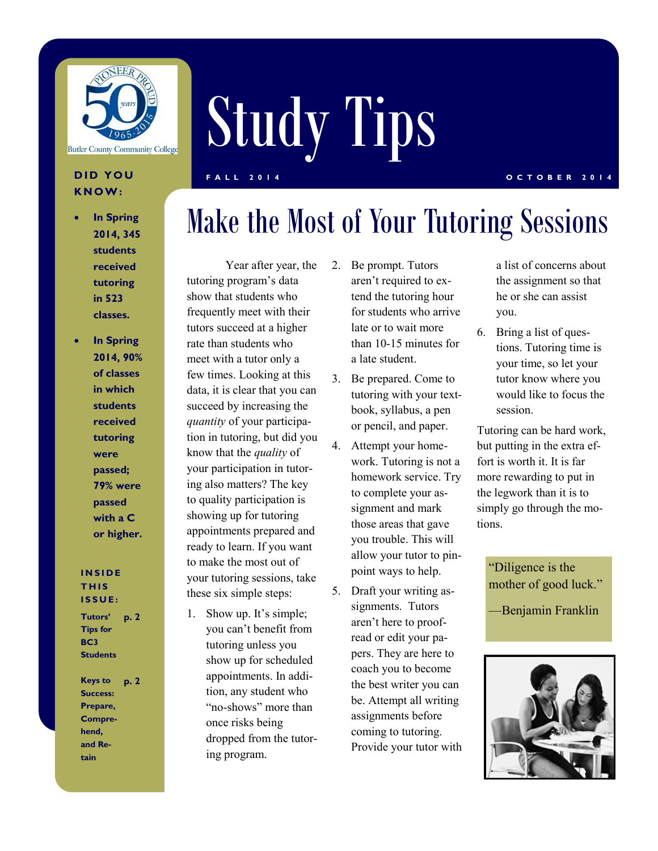

### **K N O W :**

- **In Spring 2014, 345 students received tutoring in 523 classes.**
- **In Spring 2014, 90% of classes in which students received tutoring were passed; 79% were passed with a C or higher.**

#### **I N S I D E T H I S I S S U E :**

**Tutors' Tips for BC3 Students p. 2**

**Keys to Success: Prepare, Comprehend, and Retain p. 2**

# Study Tips **D I D Y O U F A L L 2 0 1 4 O C T O B E R 2 0 1 4**

## Make the Most of Your Tutoring Sessions

Year after year, the tutoring program's data show that students who frequently meet with their tutors succeed at a higher rate than students who meet with a tutor only a few times. Looking at this data, it is clear that you can succeed by increasing the *quantity* of your participation in tutoring, but did you know that the *quality* of your participation in tutoring also matters? The key to quality participation is showing up for tutoring appointments prepared and ready to learn. If you want to make the most out of your tutoring sessions, take these six simple steps:

1. Show up. It's simple; you can't benefit from tutoring unless you show up for scheduled appointments. In addition, any student who "no-shows" more than once risks being dropped from the tutoring program.

- 2. Be prompt. Tutors aren't required to extend the tutoring hour for students who arrive late or to wait more than 10-15 minutes for a late student.
- 3. Be prepared. Come to tutoring with your textbook, syllabus, a pen or pencil, and paper.
- 4. Attempt your homework. Tutoring is not a homework service. Try to complete your assignment and mark those areas that gave you trouble. This will allow your tutor to pinpoint ways to help.
- 5. Draft your writing assignments. Tutors aren't here to proofread or edit your papers. They are here to coach you to become the best writer you can be. Attempt all writing assignments before coming to tutoring. Provide your tutor with

a list of concerns about the assignment so that he or she can assist you.

6. Bring a list of questions. Tutoring time is your time, so let your tutor know where you would like to focus the session.

Tutoring can be hard work, but putting in the extra effort is worth it. It is far more rewarding to put in the legwork than it is to simply go through the motions.

"Diligence is the mother of good luck."

—Benjamin Franklin